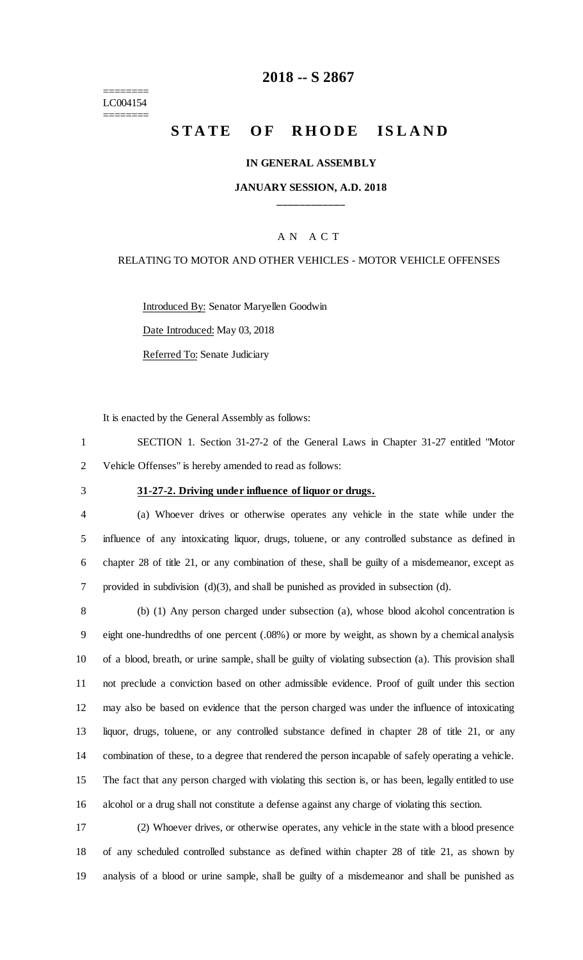======== LC004154 ========

# **-- S 2867**

# STATE OF RHODE ISLAND

### **IN GENERAL ASSEMBLY**

# **JANUARY SESSION, A.D. 2018 \_\_\_\_\_\_\_\_\_\_\_\_**

# A N A C T

### RELATING TO MOTOR AND OTHER VEHICLES - MOTOR VEHICLE OFFENSES

Introduced By: Senator Maryellen Goodwin

Date Introduced: May 03, 2018

Referred To: Senate Judiciary

It is enacted by the General Assembly as follows:

 SECTION 1. Section 31-27-2 of the General Laws in Chapter 31-27 entitled "Motor Vehicle Offenses" is hereby amended to read as follows:

# **31-27-2. Driving under influence of liquor or drugs.**

 (a) Whoever drives or otherwise operates any vehicle in the state while under the influence of any intoxicating liquor, drugs, toluene, or any controlled substance as defined in chapter 28 of title 21, or any combination of these, shall be guilty of a misdemeanor, except as provided in subdivision (d)(3), and shall be punished as provided in subsection (d).

 (b) (1) Any person charged under subsection (a), whose blood alcohol concentration is eight one-hundredths of one percent (.08%) or more by weight, as shown by a chemical analysis of a blood, breath, or urine sample, shall be guilty of violating subsection (a). This provision shall not preclude a conviction based on other admissible evidence. Proof of guilt under this section may also be based on evidence that the person charged was under the influence of intoxicating liquor, drugs, toluene, or any controlled substance defined in chapter 28 of title 21, or any combination of these, to a degree that rendered the person incapable of safely operating a vehicle. The fact that any person charged with violating this section is, or has been, legally entitled to use alcohol or a drug shall not constitute a defense against any charge of violating this section.

 (2) Whoever drives, or otherwise operates, any vehicle in the state with a blood presence of any scheduled controlled substance as defined within chapter 28 of title 21, as shown by analysis of a blood or urine sample, shall be guilty of a misdemeanor and shall be punished as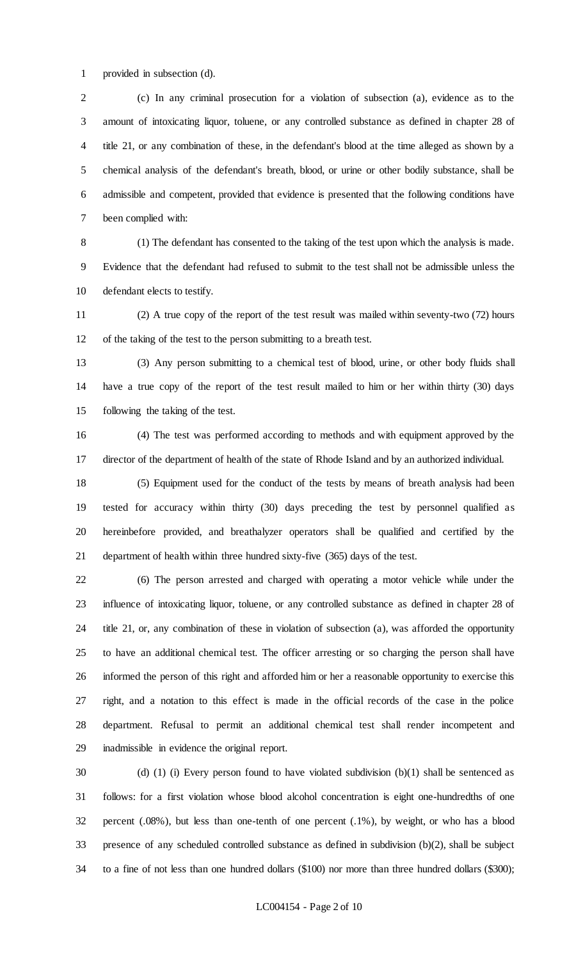provided in subsection (d).

 (c) In any criminal prosecution for a violation of subsection (a), evidence as to the amount of intoxicating liquor, toluene, or any controlled substance as defined in chapter 28 of title 21, or any combination of these, in the defendant's blood at the time alleged as shown by a chemical analysis of the defendant's breath, blood, or urine or other bodily substance, shall be admissible and competent, provided that evidence is presented that the following conditions have been complied with:

 (1) The defendant has consented to the taking of the test upon which the analysis is made. Evidence that the defendant had refused to submit to the test shall not be admissible unless the defendant elects to testify.

 (2) A true copy of the report of the test result was mailed within seventy-two (72) hours of the taking of the test to the person submitting to a breath test.

 (3) Any person submitting to a chemical test of blood, urine, or other body fluids shall have a true copy of the report of the test result mailed to him or her within thirty (30) days following the taking of the test.

 (4) The test was performed according to methods and with equipment approved by the director of the department of health of the state of Rhode Island and by an authorized individual.

 (5) Equipment used for the conduct of the tests by means of breath analysis had been tested for accuracy within thirty (30) days preceding the test by personnel qualified as hereinbefore provided, and breathalyzer operators shall be qualified and certified by the department of health within three hundred sixty-five (365) days of the test.

 (6) The person arrested and charged with operating a motor vehicle while under the influence of intoxicating liquor, toluene, or any controlled substance as defined in chapter 28 of title 21, or, any combination of these in violation of subsection (a), was afforded the opportunity to have an additional chemical test. The officer arresting or so charging the person shall have informed the person of this right and afforded him or her a reasonable opportunity to exercise this right, and a notation to this effect is made in the official records of the case in the police department. Refusal to permit an additional chemical test shall render incompetent and inadmissible in evidence the original report.

 (d) (1) (i) Every person found to have violated subdivision (b)(1) shall be sentenced as follows: for a first violation whose blood alcohol concentration is eight one-hundredths of one percent (.08%), but less than one-tenth of one percent (.1%), by weight, or who has a blood presence of any scheduled controlled substance as defined in subdivision (b)(2), shall be subject to a fine of not less than one hundred dollars (\$100) nor more than three hundred dollars (\$300);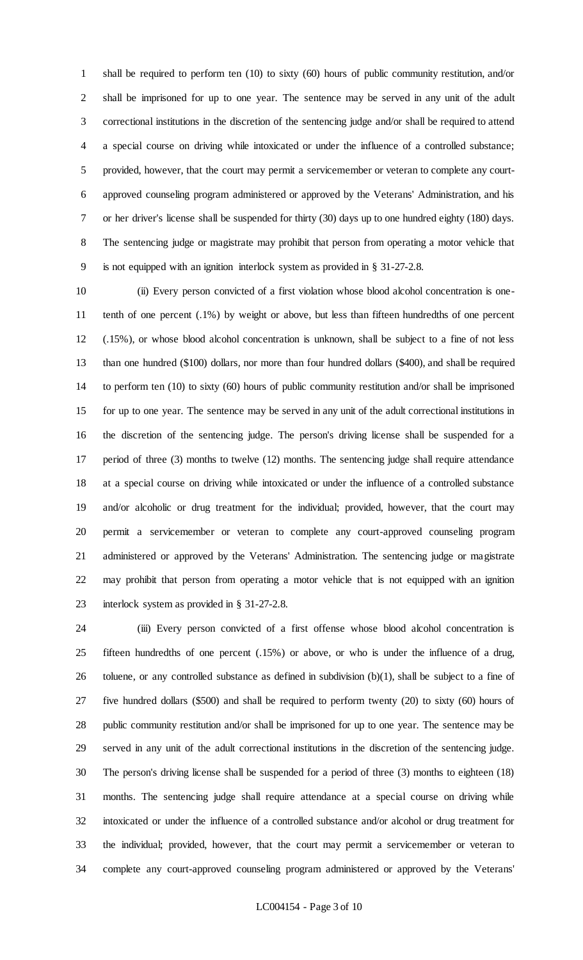shall be required to perform ten (10) to sixty (60) hours of public community restitution, and/or shall be imprisoned for up to one year. The sentence may be served in any unit of the adult correctional institutions in the discretion of the sentencing judge and/or shall be required to attend a special course on driving while intoxicated or under the influence of a controlled substance; provided, however, that the court may permit a servicemember or veteran to complete any court- approved counseling program administered or approved by the Veterans' Administration, and his or her driver's license shall be suspended for thirty (30) days up to one hundred eighty (180) days. The sentencing judge or magistrate may prohibit that person from operating a motor vehicle that is not equipped with an ignition interlock system as provided in § 31-27-2.8.

 (ii) Every person convicted of a first violation whose blood alcohol concentration is one- tenth of one percent (.1%) by weight or above, but less than fifteen hundredths of one percent (.15%), or whose blood alcohol concentration is unknown, shall be subject to a fine of not less than one hundred (\$100) dollars, nor more than four hundred dollars (\$400), and shall be required to perform ten (10) to sixty (60) hours of public community restitution and/or shall be imprisoned for up to one year. The sentence may be served in any unit of the adult correctional institutions in the discretion of the sentencing judge. The person's driving license shall be suspended for a period of three (3) months to twelve (12) months. The sentencing judge shall require attendance at a special course on driving while intoxicated or under the influence of a controlled substance and/or alcoholic or drug treatment for the individual; provided, however, that the court may permit a servicemember or veteran to complete any court-approved counseling program administered or approved by the Veterans' Administration. The sentencing judge or magistrate may prohibit that person from operating a motor vehicle that is not equipped with an ignition interlock system as provided in § 31-27-2.8.

 (iii) Every person convicted of a first offense whose blood alcohol concentration is fifteen hundredths of one percent (.15%) or above, or who is under the influence of a drug, toluene, or any controlled substance as defined in subdivision (b)(1), shall be subject to a fine of five hundred dollars (\$500) and shall be required to perform twenty (20) to sixty (60) hours of public community restitution and/or shall be imprisoned for up to one year. The sentence may be served in any unit of the adult correctional institutions in the discretion of the sentencing judge. The person's driving license shall be suspended for a period of three (3) months to eighteen (18) months. The sentencing judge shall require attendance at a special course on driving while intoxicated or under the influence of a controlled substance and/or alcohol or drug treatment for the individual; provided, however, that the court may permit a servicemember or veteran to complete any court-approved counseling program administered or approved by the Veterans'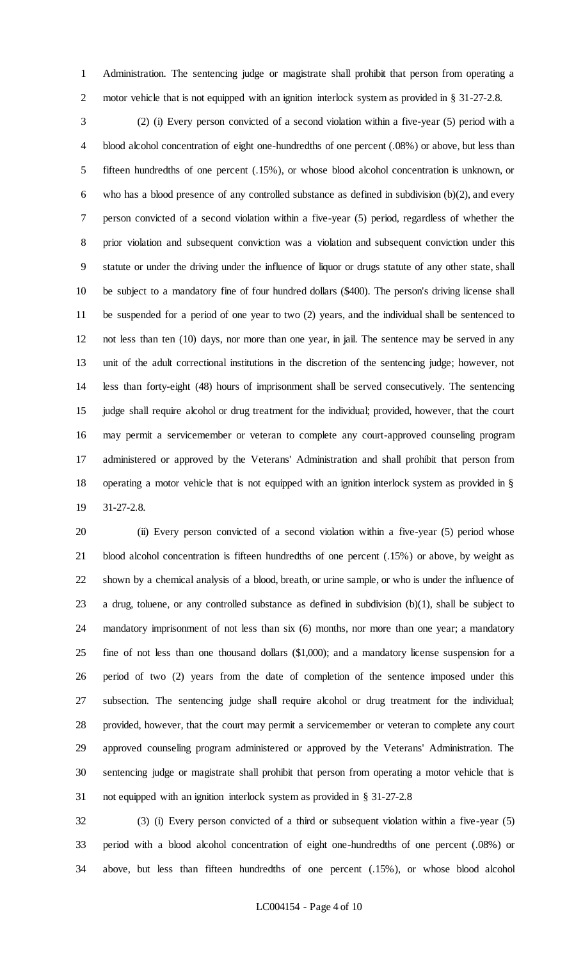Administration. The sentencing judge or magistrate shall prohibit that person from operating a 2 motor vehicle that is not equipped with an ignition interlock system as provided in § 31-27-2.8.

 (2) (i) Every person convicted of a second violation within a five-year (5) period with a blood alcohol concentration of eight one-hundredths of one percent (.08%) or above, but less than fifteen hundredths of one percent (.15%), or whose blood alcohol concentration is unknown, or 6 who has a blood presence of any controlled substance as defined in subdivision  $(b)(2)$ , and every person convicted of a second violation within a five-year (5) period, regardless of whether the prior violation and subsequent conviction was a violation and subsequent conviction under this statute or under the driving under the influence of liquor or drugs statute of any other state, shall be subject to a mandatory fine of four hundred dollars (\$400). The person's driving license shall be suspended for a period of one year to two (2) years, and the individual shall be sentenced to not less than ten (10) days, nor more than one year, in jail. The sentence may be served in any unit of the adult correctional institutions in the discretion of the sentencing judge; however, not less than forty-eight (48) hours of imprisonment shall be served consecutively. The sentencing judge shall require alcohol or drug treatment for the individual; provided, however, that the court may permit a servicemember or veteran to complete any court-approved counseling program administered or approved by the Veterans' Administration and shall prohibit that person from operating a motor vehicle that is not equipped with an ignition interlock system as provided in § 31-27-2.8.

 (ii) Every person convicted of a second violation within a five-year (5) period whose blood alcohol concentration is fifteen hundredths of one percent (.15%) or above, by weight as shown by a chemical analysis of a blood, breath, or urine sample, or who is under the influence of 23 a drug, toluene, or any controlled substance as defined in subdivision  $(b)(1)$ , shall be subject to mandatory imprisonment of not less than six (6) months, nor more than one year; a mandatory fine of not less than one thousand dollars (\$1,000); and a mandatory license suspension for a period of two (2) years from the date of completion of the sentence imposed under this subsection. The sentencing judge shall require alcohol or drug treatment for the individual; provided, however, that the court may permit a servicemember or veteran to complete any court approved counseling program administered or approved by the Veterans' Administration. The sentencing judge or magistrate shall prohibit that person from operating a motor vehicle that is not equipped with an ignition interlock system as provided in § 31-27-2.8

 (3) (i) Every person convicted of a third or subsequent violation within a five-year (5) period with a blood alcohol concentration of eight one-hundredths of one percent (.08%) or above, but less than fifteen hundredths of one percent (.15%), or whose blood alcohol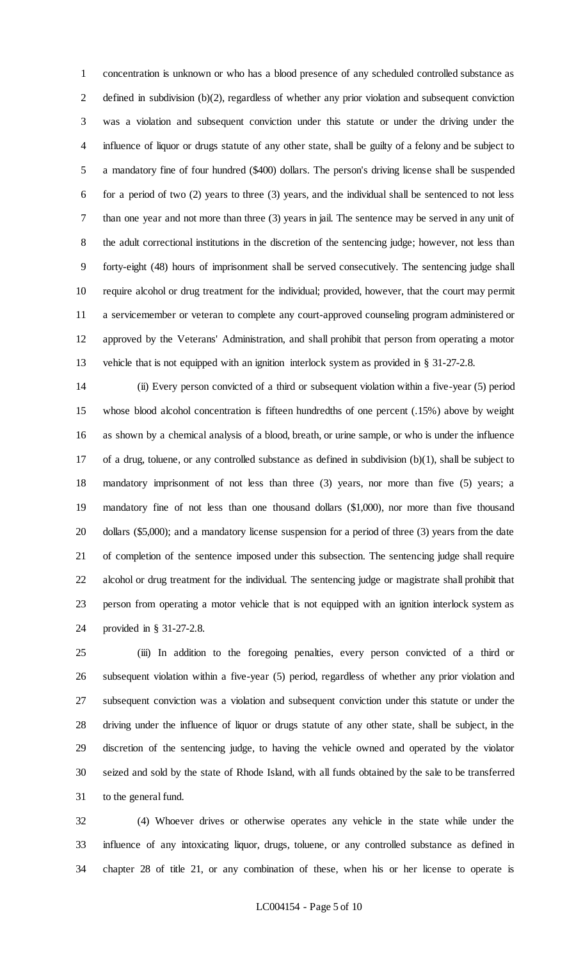concentration is unknown or who has a blood presence of any scheduled controlled substance as defined in subdivision (b)(2), regardless of whether any prior violation and subsequent conviction was a violation and subsequent conviction under this statute or under the driving under the influence of liquor or drugs statute of any other state, shall be guilty of a felony and be subject to a mandatory fine of four hundred (\$400) dollars. The person's driving license shall be suspended for a period of two (2) years to three (3) years, and the individual shall be sentenced to not less than one year and not more than three (3) years in jail. The sentence may be served in any unit of the adult correctional institutions in the discretion of the sentencing judge; however, not less than forty-eight (48) hours of imprisonment shall be served consecutively. The sentencing judge shall require alcohol or drug treatment for the individual; provided, however, that the court may permit a servicemember or veteran to complete any court-approved counseling program administered or approved by the Veterans' Administration, and shall prohibit that person from operating a motor vehicle that is not equipped with an ignition interlock system as provided in § 31-27-2.8.

 (ii) Every person convicted of a third or subsequent violation within a five-year (5) period whose blood alcohol concentration is fifteen hundredths of one percent (.15%) above by weight as shown by a chemical analysis of a blood, breath, or urine sample, or who is under the influence of a drug, toluene, or any controlled substance as defined in subdivision (b)(1), shall be subject to mandatory imprisonment of not less than three (3) years, nor more than five (5) years; a mandatory fine of not less than one thousand dollars (\$1,000), nor more than five thousand dollars (\$5,000); and a mandatory license suspension for a period of three (3) years from the date of completion of the sentence imposed under this subsection. The sentencing judge shall require alcohol or drug treatment for the individual. The sentencing judge or magistrate shall prohibit that person from operating a motor vehicle that is not equipped with an ignition interlock system as provided in § 31-27-2.8.

 (iii) In addition to the foregoing penalties, every person convicted of a third or subsequent violation within a five-year (5) period, regardless of whether any prior violation and subsequent conviction was a violation and subsequent conviction under this statute or under the driving under the influence of liquor or drugs statute of any other state, shall be subject, in the discretion of the sentencing judge, to having the vehicle owned and operated by the violator seized and sold by the state of Rhode Island, with all funds obtained by the sale to be transferred to the general fund.

 (4) Whoever drives or otherwise operates any vehicle in the state while under the influence of any intoxicating liquor, drugs, toluene, or any controlled substance as defined in chapter 28 of title 21, or any combination of these, when his or her license to operate is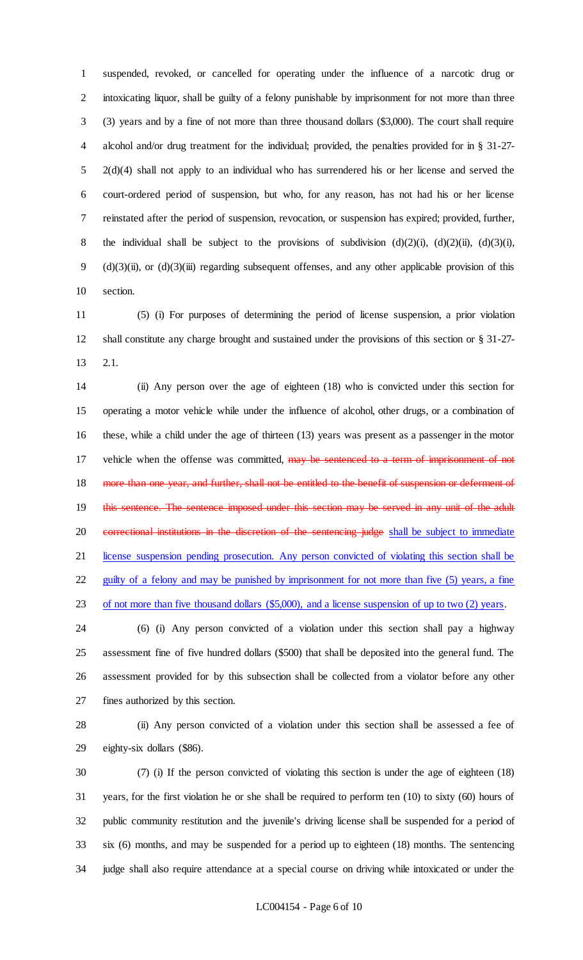suspended, revoked, or cancelled for operating under the influence of a narcotic drug or intoxicating liquor, shall be guilty of a felony punishable by imprisonment for not more than three (3) years and by a fine of not more than three thousand dollars (\$3,000). The court shall require alcohol and/or drug treatment for the individual; provided, the penalties provided for in § 31-27- 2(d)(4) shall not apply to an individual who has surrendered his or her license and served the court-ordered period of suspension, but who, for any reason, has not had his or her license reinstated after the period of suspension, revocation, or suspension has expired; provided, further, 8 the individual shall be subject to the provisions of subdivision  $(d)(2)(i)$ ,  $(d)(2)(ii)$ ,  $(d)(3)(i)$ , (d)(3)(ii), or (d)(3)(iii) regarding subsequent offenses, and any other applicable provision of this section.

 (5) (i) For purposes of determining the period of license suspension, a prior violation shall constitute any charge brought and sustained under the provisions of this section or § 31-27- 2.1.

 (ii) Any person over the age of eighteen (18) who is convicted under this section for operating a motor vehicle while under the influence of alcohol, other drugs, or a combination of these, while a child under the age of thirteen (13) years was present as a passenger in the motor 17 vehicle when the offense was committed, may be sentenced to a term of imprisonment of not 18 more than one year, and further, shall not be entitled to the benefit of suspension or deferment of this sentence. The sentence imposed under this section may be served in any unit of the adult 20 correctional institutions in the discretion of the sentencing judge shall be subject to immediate license suspension pending prosecution. Any person convicted of violating this section shall be 22 guilty of a felony and may be punished by imprisonment for not more than five (5) years, a fine 23 of not more than five thousand dollars (\$5,000), and a license suspension of up to two (2) years.

 (6) (i) Any person convicted of a violation under this section shall pay a highway assessment fine of five hundred dollars (\$500) that shall be deposited into the general fund. The assessment provided for by this subsection shall be collected from a violator before any other fines authorized by this section.

 (ii) Any person convicted of a violation under this section shall be assessed a fee of eighty-six dollars (\$86).

 (7) (i) If the person convicted of violating this section is under the age of eighteen (18) years, for the first violation he or she shall be required to perform ten (10) to sixty (60) hours of public community restitution and the juvenile's driving license shall be suspended for a period of six (6) months, and may be suspended for a period up to eighteen (18) months. The sentencing judge shall also require attendance at a special course on driving while intoxicated or under the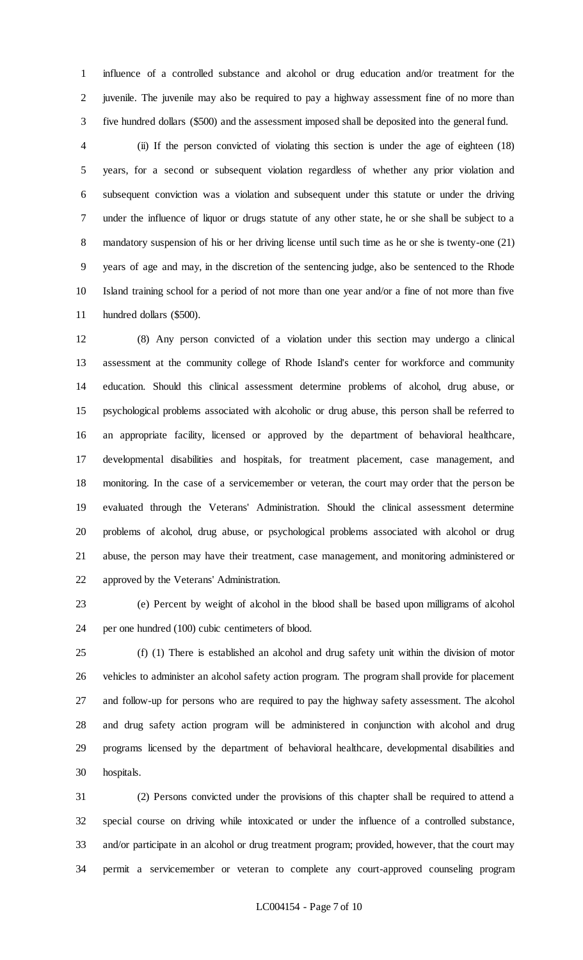influence of a controlled substance and alcohol or drug education and/or treatment for the juvenile. The juvenile may also be required to pay a highway assessment fine of no more than five hundred dollars (\$500) and the assessment imposed shall be deposited into the general fund.

 (ii) If the person convicted of violating this section is under the age of eighteen (18) years, for a second or subsequent violation regardless of whether any prior violation and subsequent conviction was a violation and subsequent under this statute or under the driving under the influence of liquor or drugs statute of any other state, he or she shall be subject to a mandatory suspension of his or her driving license until such time as he or she is twenty-one (21) years of age and may, in the discretion of the sentencing judge, also be sentenced to the Rhode Island training school for a period of not more than one year and/or a fine of not more than five hundred dollars (\$500).

 (8) Any person convicted of a violation under this section may undergo a clinical assessment at the community college of Rhode Island's center for workforce and community education. Should this clinical assessment determine problems of alcohol, drug abuse, or psychological problems associated with alcoholic or drug abuse, this person shall be referred to an appropriate facility, licensed or approved by the department of behavioral healthcare, developmental disabilities and hospitals, for treatment placement, case management, and monitoring. In the case of a servicemember or veteran, the court may order that the person be evaluated through the Veterans' Administration. Should the clinical assessment determine problems of alcohol, drug abuse, or psychological problems associated with alcohol or drug abuse, the person may have their treatment, case management, and monitoring administered or approved by the Veterans' Administration.

 (e) Percent by weight of alcohol in the blood shall be based upon milligrams of alcohol per one hundred (100) cubic centimeters of blood.

 (f) (1) There is established an alcohol and drug safety unit within the division of motor vehicles to administer an alcohol safety action program. The program shall provide for placement and follow-up for persons who are required to pay the highway safety assessment. The alcohol and drug safety action program will be administered in conjunction with alcohol and drug programs licensed by the department of behavioral healthcare, developmental disabilities and hospitals.

 (2) Persons convicted under the provisions of this chapter shall be required to attend a special course on driving while intoxicated or under the influence of a controlled substance, and/or participate in an alcohol or drug treatment program; provided, however, that the court may permit a servicemember or veteran to complete any court-approved counseling program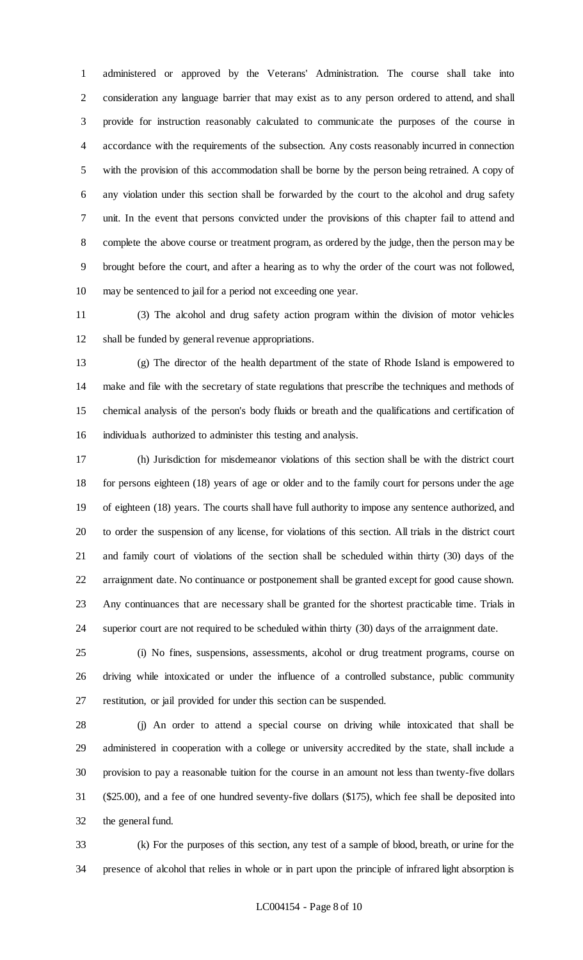administered or approved by the Veterans' Administration. The course shall take into consideration any language barrier that may exist as to any person ordered to attend, and shall provide for instruction reasonably calculated to communicate the purposes of the course in accordance with the requirements of the subsection. Any costs reasonably incurred in connection with the provision of this accommodation shall be borne by the person being retrained. A copy of any violation under this section shall be forwarded by the court to the alcohol and drug safety unit. In the event that persons convicted under the provisions of this chapter fail to attend and complete the above course or treatment program, as ordered by the judge, then the person may be brought before the court, and after a hearing as to why the order of the court was not followed, may be sentenced to jail for a period not exceeding one year.

 (3) The alcohol and drug safety action program within the division of motor vehicles shall be funded by general revenue appropriations.

 (g) The director of the health department of the state of Rhode Island is empowered to make and file with the secretary of state regulations that prescribe the techniques and methods of chemical analysis of the person's body fluids or breath and the qualifications and certification of individuals authorized to administer this testing and analysis.

 (h) Jurisdiction for misdemeanor violations of this section shall be with the district court for persons eighteen (18) years of age or older and to the family court for persons under the age of eighteen (18) years. The courts shall have full authority to impose any sentence authorized, and to order the suspension of any license, for violations of this section. All trials in the district court and family court of violations of the section shall be scheduled within thirty (30) days of the arraignment date. No continuance or postponement shall be granted except for good cause shown. Any continuances that are necessary shall be granted for the shortest practicable time. Trials in superior court are not required to be scheduled within thirty (30) days of the arraignment date.

 (i) No fines, suspensions, assessments, alcohol or drug treatment programs, course on driving while intoxicated or under the influence of a controlled substance, public community restitution, or jail provided for under this section can be suspended.

 (j) An order to attend a special course on driving while intoxicated that shall be administered in cooperation with a college or university accredited by the state, shall include a provision to pay a reasonable tuition for the course in an amount not less than twenty-five dollars (\$25.00), and a fee of one hundred seventy-five dollars (\$175), which fee shall be deposited into the general fund.

 (k) For the purposes of this section, any test of a sample of blood, breath, or urine for the presence of alcohol that relies in whole or in part upon the principle of infrared light absorption is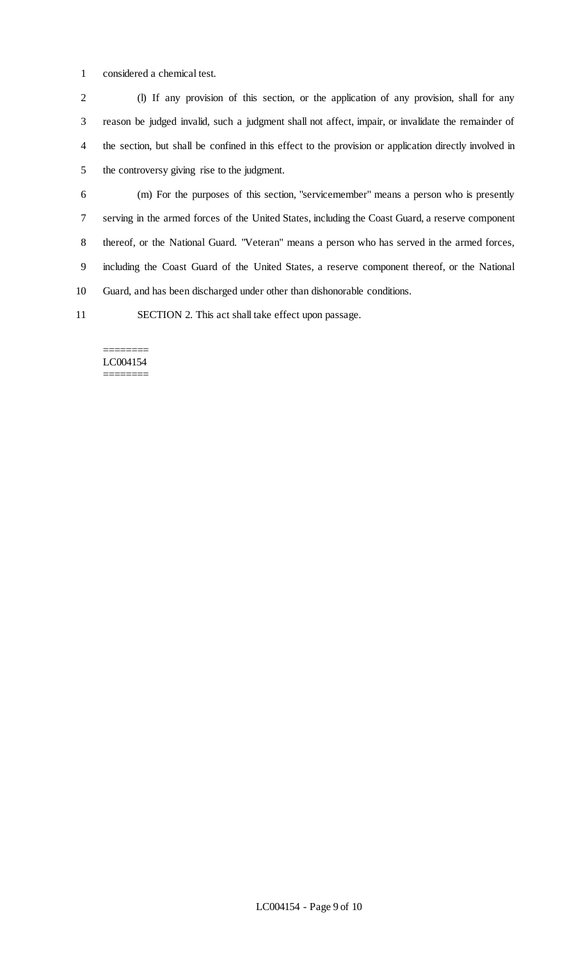considered a chemical test.

 (l) If any provision of this section, or the application of any provision, shall for any reason be judged invalid, such a judgment shall not affect, impair, or invalidate the remainder of the section, but shall be confined in this effect to the provision or application directly involved in the controversy giving rise to the judgment.

 (m) For the purposes of this section, "servicemember" means a person who is presently serving in the armed forces of the United States, including the Coast Guard, a reserve component thereof, or the National Guard. "Veteran" means a person who has served in the armed forces, including the Coast Guard of the United States, a reserve component thereof, or the National Guard, and has been discharged under other than dishonorable conditions.

SECTION 2. This act shall take effect upon passage.

#### ======== LC004154 ========